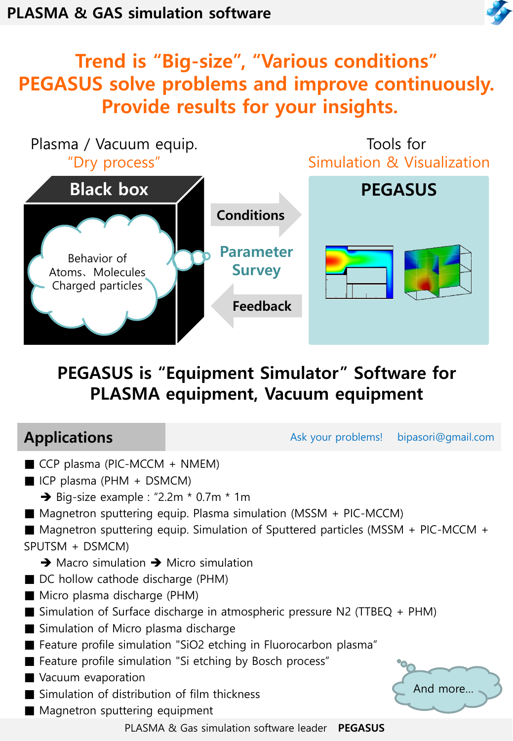

## Trend is "Big-size", "Various conditions" PEGASUS solve problems and improve continuously. Provide results for your insights.



## PEGASUS is "Equipment Simulator" Software for PLASMA equipment, Vacuum equipment

| <b>Applications</b>                                                                                                                                                                                                                                                                                                                                                                                                                                                 |                                                                                                                                                                                                                                                                                                                                                                                        | Ask your problems! | bipasori@gmail.com |
|---------------------------------------------------------------------------------------------------------------------------------------------------------------------------------------------------------------------------------------------------------------------------------------------------------------------------------------------------------------------------------------------------------------------------------------------------------------------|----------------------------------------------------------------------------------------------------------------------------------------------------------------------------------------------------------------------------------------------------------------------------------------------------------------------------------------------------------------------------------------|--------------------|--------------------|
| $\blacksquare$ CCP plasma (PIC-MCCM + NMEM)<br>$\blacksquare$ ICP plasma (PHM + DSMCM)<br>$\rightarrow$ Big-size example : "2.2m $*$ 0.7m $*$ 1m<br>SPUTSM + DSMCM)<br>$\rightarrow$ Macro simulation $\rightarrow$ Micro simulation<br>■ DC hollow cathode discharge (PHM)<br>■ Micro plasma discharge (PHM)<br>■ Simulation of Micro plasma discharge<br>Vacuum evaporation<br>■ Simulation of distribution of film thickness<br>■ Magnetron sputtering equipment | ■ Magnetron sputtering equip. Plasma simulation (MSSM + PIC-MCCM)<br>■ Magnetron sputtering equip. Simulation of Sputtered particles (MSSM + PIC-MCCM +<br>$\blacksquare$ Simulation of Surface discharge in atmospheric pressure N2 (TTBEQ + PHM)<br>■ Feature profile simulation "SiO2 etching in Fluorocarbon plasma"<br>■ Feature profile simulation "Si etching by Bosch process" |                    | And more           |
|                                                                                                                                                                                                                                                                                                                                                                                                                                                                     | PLASMA & Gas simulation software leader                                                                                                                                                                                                                                                                                                                                                | <b>PEGASUS</b>     |                    |